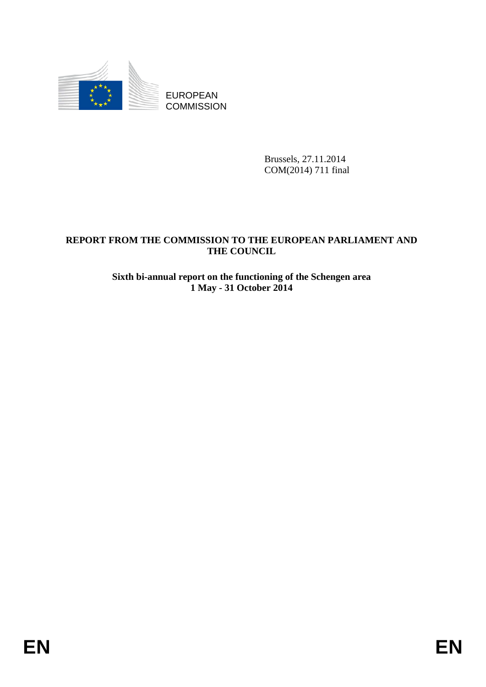

EUROPEAN **COMMISSION** 

> Brussels, 27.11.2014 COM(2014) 711 final

# **REPORT FROM THE COMMISSION TO THE EUROPEAN PARLIAMENT AND THE COUNCIL**

## **Sixth bi-annual report on the functioning of the Schengen area 1 May - 31 October 2014**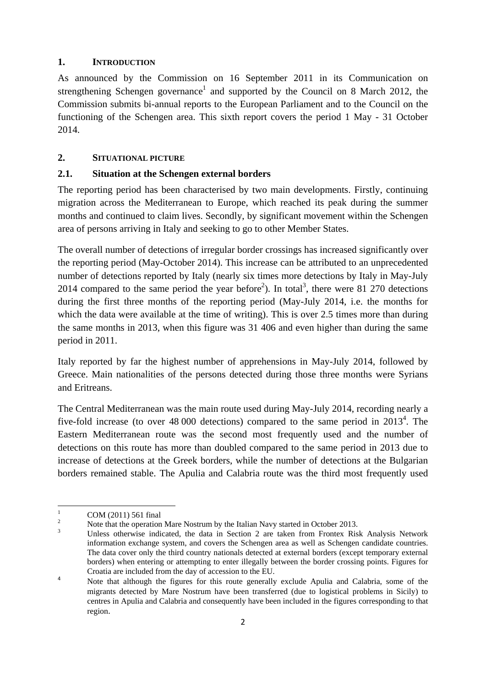### **1. INTRODUCTION**

As announced by the Commission on 16 September 2011 in its Communication on strengthening Schengen governance<sup>1</sup> and supported by the Council on 8 March 2012, the Commission submits bi-annual reports to the European Parliament and to the Council on the functioning of the Schengen area. This sixth report covers the period 1 May - 31 October 2014.

### **2. SITUATIONAL PICTURE**

## **2.1. Situation at the Schengen external borders**

The reporting period has been characterised by two main developments. Firstly, continuing migration across the Mediterranean to Europe, which reached its peak during the summer months and continued to claim lives. Secondly, by significant movement within the Schengen area of persons arriving in Italy and seeking to go to other Member States.

The overall number of detections of irregular border crossings has increased significantly over the reporting period (May-October 2014). This increase can be attributed to an unprecedented number of detections reported by Italy (nearly six times more detections by Italy in May-July 2014 compared to the same period the year before<sup>2</sup>). In total<sup>3</sup>, there were 81 270 detections during the first three months of the reporting period (May-July 2014, i.e. the months for which the data were available at the time of writing). This is over 2.5 times more than during the same months in 2013, when this figure was 31 406 and even higher than during the same period in 2011.

Italy reported by far the highest number of apprehensions in May-July 2014, followed by Greece. Main nationalities of the persons detected during those three months were Syrians and Eritreans.

The Central Mediterranean was the main route used during May-July 2014, recording nearly a five-fold increase (to over  $48\,000$  detections) compared to the same period in  $2013^4$ . The Eastern Mediterranean route was the second most frequently used and the number of detections on this route has more than doubled compared to the same period in 2013 due to increase of detections at the Greek borders, while the number of detections at the Bulgarian borders remained stable. The Apulia and Calabria route was the third most frequently used

 $\frac{1}{1}$ COM (2011) 561 final

<sup>2</sup> Note that the operation Mare Nostrum by the Italian Navy started in October 2013.

<sup>3</sup> Unless otherwise indicated, the data in Section 2 are taken from Frontex Risk Analysis Network information exchange system, and covers the Schengen area as well as Schengen candidate countries. The data cover only the third country nationals detected at external borders (except temporary external borders) when entering or attempting to enter illegally between the border crossing points. Figures for Croatia are included from the day of accession to the EU.

<sup>4</sup> Note that although the figures for this route generally exclude Apulia and Calabria, some of the migrants detected by Mare Nostrum have been transferred (due to logistical problems in Sicily) to centres in Apulia and Calabria and consequently have been included in the figures corresponding to that region.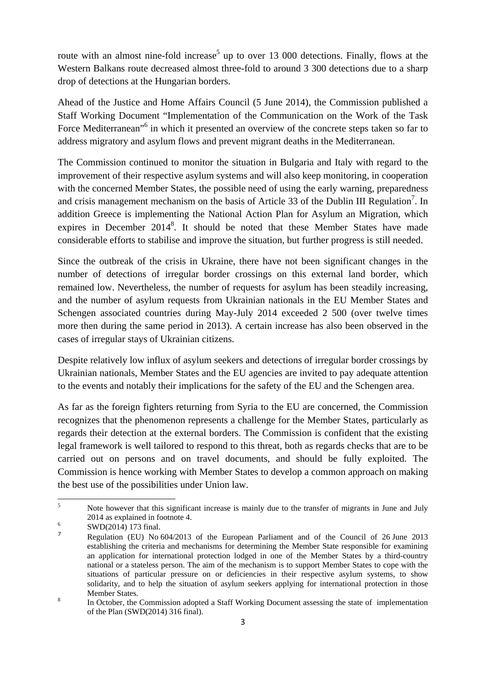route with an almost nine-fold increase<sup>5</sup> up to over 13 000 detections. Finally, flows at the Western Balkans route decreased almost three-fold to around 3 300 detections due to a sharp drop of detections at the Hungarian borders.

Ahead of the Justice and Home Affairs Council (5 June 2014), the Commission published a Staff Working Document "Implementation of the Communication on the Work of the Task Force Mediterranean<sup>"6</sup> in which it presented an overview of the concrete steps taken so far to address migratory and asylum flows and prevent migrant deaths in the Mediterranean.

The Commission continued to monitor the situation in Bulgaria and Italy with regard to the improvement of their respective asylum systems and will also keep monitoring, in cooperation with the concerned Member States, the possible need of using the early warning, preparedness and crisis management mechanism on the basis of Article 33 of the Dublin III Regulation<sup>7</sup>. In addition Greece is implementing the National Action Plan for Asylum an Migration, which expires in December 2014<sup>8</sup>. It should be noted that these Member States have made considerable efforts to stabilise and improve the situation, but further progress is still needed.

Since the outbreak of the crisis in Ukraine, there have not been significant changes in the number of detections of irregular border crossings on this external land border, which remained low. Nevertheless, the number of requests for asylum has been steadily increasing, and the number of asylum requests from Ukrainian nationals in the EU Member States and Schengen associated countries during May-July 2014 exceeded 2 500 (over twelve times more then during the same period in 2013). A certain increase has also been observed in the cases of irregular stays of Ukrainian citizens.

Despite relatively low influx of asylum seekers and detections of irregular border crossings by Ukrainian nationals, Member States and the EU agencies are invited to pay adequate attention to the events and notably their implications for the safety of the EU and the Schengen area.

As far as the foreign fighters returning from Syria to the EU are concerned, the Commission recognizes that the phenomenon represents a challenge for the Member States, particularly as regards their detection at the external borders. The Commission is confident that the existing legal framework is well tailored to respond to this threat, both as regards checks that are to be carried out on persons and on travel documents, and should be fully exploited. The Commission is hence working with Member States to develop a common approach on making the best use of the possibilities under Union law.

 $\frac{1}{5}$  Note however that this significant increase is mainly due to the transfer of migrants in June and July  $2014$  as explained in footnote 4.

 $\frac{6}{7}$  SWD(2014) 173 final.

<sup>7</sup> Regulation (EU) No 604/2013 of the European Parliament and of the Council of 26 June 2013 establishing the criteria and mechanisms for determining the Member State responsible for examining an application for international protection lodged in one of the Member States by a third-country national or a stateless person. The aim of the mechanism is to support Member States to cope with the situations of particular pressure on or deficiencies in their respective asylum systems, to show solidarity, and to help the situation of asylum seekers applying for international protection in those Member States.

In October, the Commission adopted a Staff Working Document assessing the state of implementation of the Plan (SWD(2014) 316 final).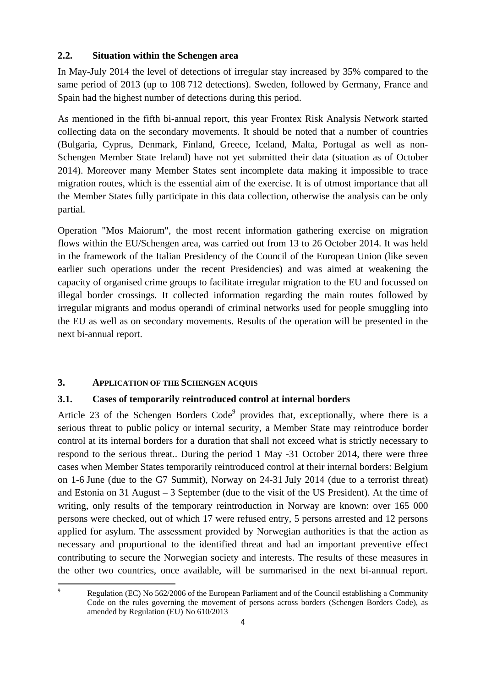### **2.2. Situation within the Schengen area**

In May-July 2014 the level of detections of irregular stay increased by 35% compared to the same period of 2013 (up to 108 712 detections). Sweden, followed by Germany, France and Spain had the highest number of detections during this period.

As mentioned in the fifth bi-annual report, this year Frontex Risk Analysis Network started collecting data on the secondary movements. It should be noted that a number of countries (Bulgaria, Cyprus, Denmark, Finland, Greece, Iceland, Malta, Portugal as well as non-Schengen Member State Ireland) have not yet submitted their data (situation as of October 2014). Moreover many Member States sent incomplete data making it impossible to trace migration routes, which is the essential aim of the exercise. It is of utmost importance that all the Member States fully participate in this data collection, otherwise the analysis can be only partial.

Operation "Mos Maiorum", the most recent information gathering exercise on migration flows within the EU/Schengen area, was carried out from 13 to 26 October 2014. It was held in the framework of the Italian Presidency of the Council of the European Union (like seven earlier such operations under the recent Presidencies) and was aimed at weakening the capacity of organised crime groups to facilitate irregular migration to the EU and focussed on illegal border crossings. It collected information regarding the main routes followed by irregular migrants and modus operandi of criminal networks used for people smuggling into the EU as well as on secondary movements. Results of the operation will be presented in the next bi-annual report.

## **3. APPLICATION OF THE SCHENGEN ACQUIS**

### **3.1. Cases of temporarily reintroduced control at internal borders**

Article 23 of the Schengen Borders Code<sup>9</sup> provides that, exceptionally, where there is a serious threat to public policy or internal security, a Member State may reintroduce border control at its internal borders for a duration that shall not exceed what is strictly necessary to respond to the serious threat.. During the period 1 May -31 October 2014, there were three cases when Member States temporarily reintroduced control at their internal borders: Belgium on 1-6 June (due to the G7 Summit), Norway on 24-31 July 2014 (due to a terrorist threat) and Estonia on 31 August – 3 September (due to the visit of the US President). At the time of writing, only results of the temporary reintroduction in Norway are known: over 165 000 persons were checked, out of which 17 were refused entry, 5 persons arrested and 12 persons applied for asylum. The assessment provided by Norwegian authorities is that the action as necessary and proportional to the identified threat and had an important preventive effect contributing to secure the Norwegian society and interests. The results of these measures in the other two countries, once available, will be summarised in the next bi-annual report.

<sup>-&</sup>lt;br>9 Regulation (EC) No 562/2006 of the European Parliament and of the Council establishing a Community Code on the rules governing the movement of persons across borders (Schengen Borders Code), as amended by Regulation (EU) No 610/2013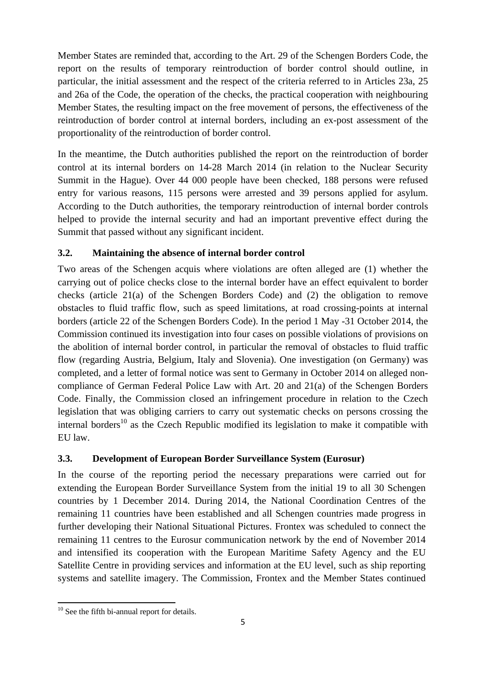Member States are reminded that, according to the Art. 29 of the Schengen Borders Code, the report on the results of temporary reintroduction of border control should outline, in particular, the initial assessment and the respect of the criteria referred to in Articles 23a, 25 and 26a of the Code, the operation of the checks, the practical cooperation with neighbouring Member States, the resulting impact on the free movement of persons, the effectiveness of the reintroduction of border control at internal borders, including an ex-post assessment of the proportionality of the reintroduction of border control.

In the meantime, the Dutch authorities published the report on the reintroduction of border control at its internal borders on 14-28 March 2014 (in relation to the Nuclear Security Summit in the Hague). Over 44 000 people have been checked, 188 persons were refused entry for various reasons, 115 persons were arrested and 39 persons applied for asylum. According to the Dutch authorities, the temporary reintroduction of internal border controls helped to provide the internal security and had an important preventive effect during the Summit that passed without any significant incident.

## **3.2. Maintaining the absence of internal border control**

Two areas of the Schengen acquis where violations are often alleged are (1) whether the carrying out of police checks close to the internal border have an effect equivalent to border checks (article  $21(a)$  of the Schengen Borders Code) and (2) the obligation to remove obstacles to fluid traffic flow, such as speed limitations, at road crossing-points at internal borders (article 22 of the Schengen Borders Code). In the period 1 May -31 October 2014, the Commission continued its investigation into four cases on possible violations of provisions on the abolition of internal border control, in particular the removal of obstacles to fluid traffic flow (regarding Austria, Belgium, Italy and Slovenia). One investigation (on Germany) was completed, and a letter of formal notice was sent to Germany in October 2014 on alleged noncompliance of German Federal Police Law with Art. 20 and 21(a) of the Schengen Borders Code. Finally, the Commission closed an infringement procedure in relation to the Czech legislation that was obliging carriers to carry out systematic checks on persons crossing the internal borders<sup>10</sup> as the Czech Republic modified its legislation to make it compatible with EU law.

## **3.3. Development of European Border Surveillance System (Eurosur)**

In the course of the reporting period the necessary preparations were carried out for extending the European Border Surveillance System from the initial 19 to all 30 Schengen countries by 1 December 2014. During 2014, the National Coordination Centres of the remaining 11 countries have been established and all Schengen countries made progress in further developing their National Situational Pictures. Frontex was scheduled to connect the remaining 11 centres to the Eurosur communication network by the end of November 2014 and intensified its cooperation with the European Maritime Safety Agency and the EU Satellite Centre in providing services and information at the EU level, such as ship reporting systems and satellite imagery. The Commission, Frontex and the Member States continued

 $\overline{a}$ 

<sup>&</sup>lt;sup>10</sup> See the fifth bi-annual report for details.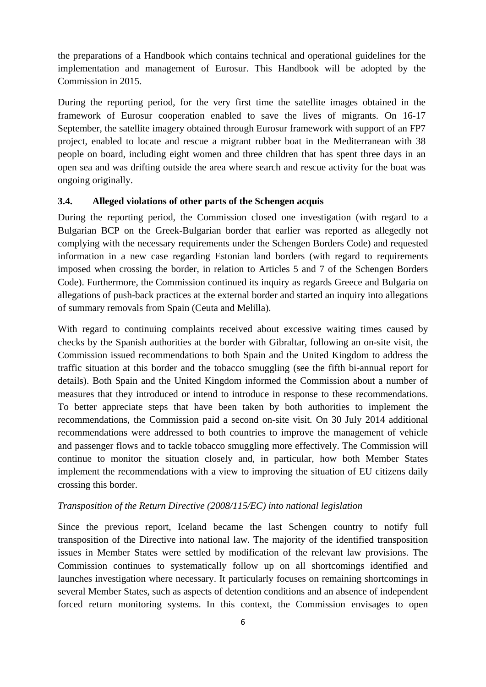the preparations of a Handbook which contains technical and operational guidelines for the implementation and management of Eurosur. This Handbook will be adopted by the Commission in 2015.

During the reporting period, for the very first time the satellite images obtained in the framework of Eurosur cooperation enabled to save the lives of migrants. On 16-17 September, the satellite imagery obtained through Eurosur framework with support of an FP7 project, enabled to locate and rescue a migrant rubber boat in the Mediterranean with 38 people on board, including eight women and three children that has spent three days in an open sea and was drifting outside the area where search and rescue activity for the boat was ongoing originally.

#### **3.4. Alleged violations of other parts of the Schengen acquis**

During the reporting period, the Commission closed one investigation (with regard to a Bulgarian BCP on the Greek-Bulgarian border that earlier was reported as allegedly not complying with the necessary requirements under the Schengen Borders Code) and requested information in a new case regarding Estonian land borders (with regard to requirements imposed when crossing the border, in relation to Articles 5 and 7 of the Schengen Borders Code). Furthermore, the Commission continued its inquiry as regards Greece and Bulgaria on allegations of push-back practices at the external border and started an inquiry into allegations of summary removals from Spain (Ceuta and Melilla).

With regard to continuing complaints received about excessive waiting times caused by checks by the Spanish authorities at the border with Gibraltar, following an on-site visit, the Commission issued recommendations to both Spain and the United Kingdom to address the traffic situation at this border and the tobacco smuggling (see the fifth bi-annual report for details). Both Spain and the United Kingdom informed the Commission about a number of measures that they introduced or intend to introduce in response to these recommendations. To better appreciate steps that have been taken by both authorities to implement the recommendations, the Commission paid a second on-site visit. On 30 July 2014 additional recommendations were addressed to both countries to improve the management of vehicle and passenger flows and to tackle tobacco smuggling more effectively. The Commission will continue to monitor the situation closely and, in particular, how both Member States implement the recommendations with a view to improving the situation of EU citizens daily crossing this border.

#### *Transposition of the Return Directive (2008/115/EC) into national legislation*

Since the previous report, Iceland became the last Schengen country to notify full transposition of the Directive into national law. The majority of the identified transposition issues in Member States were settled by modification of the relevant law provisions. The Commission continues to systematically follow up on all shortcomings identified and launches investigation where necessary. It particularly focuses on remaining shortcomings in several Member States, such as aspects of detention conditions and an absence of independent forced return monitoring systems. In this context, the Commission envisages to open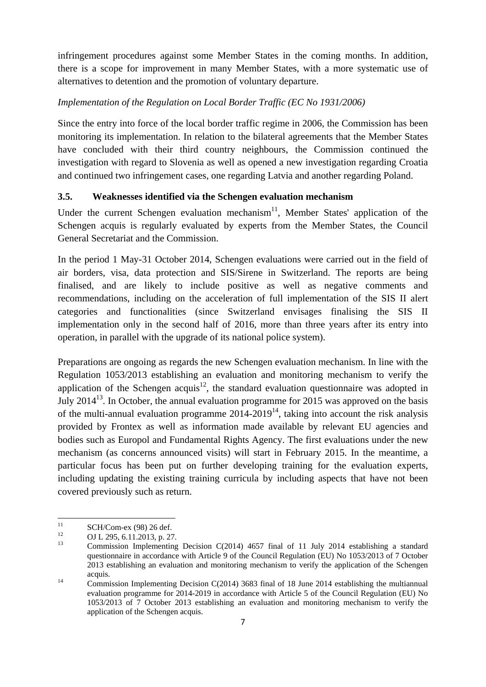infringement procedures against some Member States in the coming months. In addition, there is a scope for improvement in many Member States, with a more systematic use of alternatives to detention and the promotion of voluntary departure.

## *Implementation of the Regulation on Local Border Traffic (EC No 1931/2006)*

Since the entry into force of the local border traffic regime in 2006, the Commission has been monitoring its implementation. In relation to the bilateral agreements that the Member States have concluded with their third country neighbours, the Commission continued the investigation with regard to Slovenia as well as opened a new investigation regarding Croatia and continued two infringement cases, one regarding Latvia and another regarding Poland.

## **3.5. Weaknesses identified via the Schengen evaluation mechanism**

Under the current Schengen evaluation mechanism<sup>11</sup>, Member States' application of the Schengen acquis is regularly evaluated by experts from the Member States, the Council General Secretariat and the Commission.

In the period 1 May-31 October 2014, Schengen evaluations were carried out in the field of air borders, visa, data protection and SIS/Sirene in Switzerland. The reports are being finalised, and are likely to include positive as well as negative comments and recommendations, including on the acceleration of full implementation of the SIS II alert categories and functionalities (since Switzerland envisages finalising the SIS II implementation only in the second half of 2016, more than three years after its entry into operation, in parallel with the upgrade of its national police system).

Preparations are ongoing as regards the new Schengen evaluation mechanism. In line with the Regulation 1053/2013 establishing an evaluation and monitoring mechanism to verify the application of the Schengen acquis<sup>12</sup>, the standard evaluation questionnaire was adopted in July  $2014^{13}$ . In October, the annual evaluation programme for 2015 was approved on the basis of the multi-annual evaluation programme  $2014-2019^{14}$ , taking into account the risk analysis provided by Frontex as well as information made available by relevant EU agencies and bodies such as Europol and Fundamental Rights Agency. The first evaluations under the new mechanism (as concerns announced visits) will start in February 2015. In the meantime, a particular focus has been put on further developing training for the evaluation experts, including updating the existing training curricula by including aspects that have not been covered previously such as return.

 $11$  $\frac{11}{12}$  SCH/Com-ex (98) 26 def.

 $12$  OJ L 295, 6.11.2013, p. 27.

Commission Implementing Decision C(2014)  $4657$  final of 11 July 2014 establishing a standard questionnaire in accordance with Article 9 of the Council Regulation (EU) No 1053/2013 of 7 October 2013 establishing an evaluation and monitoring mechanism to verify the application of the Schengen acquis. 14 Commission Implementing Decision C(2014) 3683 final of 18 June 2014 establishing the multiannual

evaluation programme for 2014-2019 in accordance with Article 5 of the Council Regulation (EU) No 1053/2013 of 7 October 2013 establishing an evaluation and monitoring mechanism to verify the application of the Schengen acquis.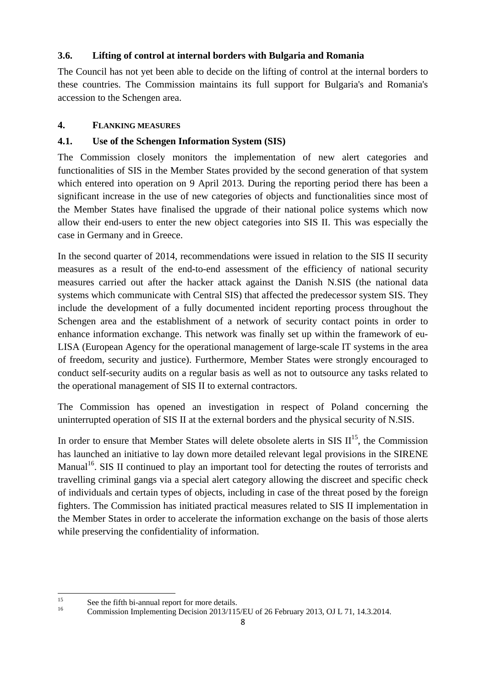## **3.6. Lifting of control at internal borders with Bulgaria and Romania**

The Council has not yet been able to decide on the lifting of control at the internal borders to these countries. The Commission maintains its full support for Bulgaria's and Romania's accession to the Schengen area.

## **4. FLANKING MEASURES**

## **4.1. Use of the Schengen Information System (SIS)**

The Commission closely monitors the implementation of new alert categories and functionalities of SIS in the Member States provided by the second generation of that system which entered into operation on 9 April 2013. During the reporting period there has been a significant increase in the use of new categories of objects and functionalities since most of the Member States have finalised the upgrade of their national police systems which now allow their end-users to enter the new object categories into SIS II. This was especially the case in Germany and in Greece.

In the second quarter of 2014, recommendations were issued in relation to the SIS II security measures as a result of the end-to-end assessment of the efficiency of national security measures carried out after the hacker attack against the Danish N.SIS (the national data systems which communicate with Central SIS) that affected the predecessor system SIS. They include the development of a fully documented incident reporting process throughout the Schengen area and the establishment of a network of security contact points in order to enhance information exchange. This network was finally set up within the framework of eu-LISA (European Agency for the operational management of large-scale IT systems in the area of freedom, security and justice). Furthermore, Member States were strongly encouraged to conduct self-security audits on a regular basis as well as not to outsource any tasks related to the operational management of SIS II to external contractors.

The Commission has opened an investigation in respect of Poland concerning the uninterrupted operation of SIS II at the external borders and the physical security of N.SIS.

In order to ensure that Member States will delete obsolete alerts in SIS  $II^{15}$ , the Commission has launched an initiative to lay down more detailed relevant legal provisions in the SIRENE Manual<sup>16</sup>. SIS II continued to play an important tool for detecting the routes of terrorists and travelling criminal gangs via a special alert category allowing the discreet and specific check of individuals and certain types of objects, including in case of the threat posed by the foreign fighters. The Commission has initiated practical measures related to SIS II implementation in the Member States in order to accelerate the information exchange on the basis of those alerts while preserving the confidentiality of information.

 $15$ <sup>15</sup> See the fifth bi-annual report for more details.

<sup>16</sup> Commission Implementing Decision 2013/115/EU of 26 February 2013, OJ L 71, 14.3.2014.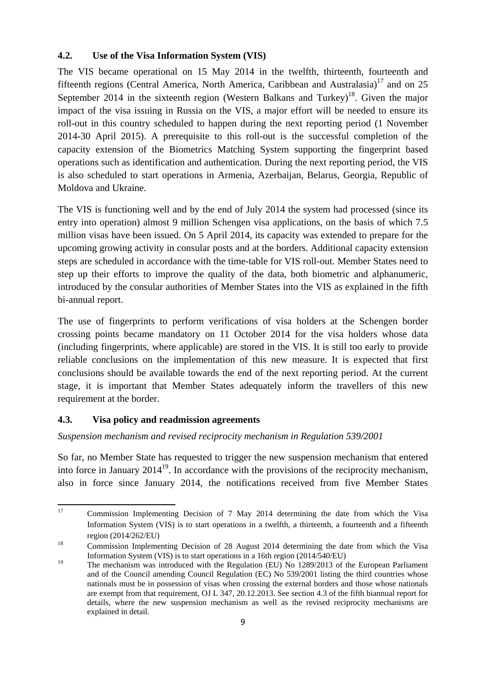### **4.2. Use of the Visa Information System (VIS)**

The VIS became operational on 15 May 2014 in the twelfth, thirteenth, fourteenth and fifteenth regions (Central America, North America, Caribbean and Australasia)<sup>17</sup> and on 25 September 2014 in the sixteenth region (Western Balkans and Turkey)<sup>18</sup>. Given the major impact of the visa issuing in Russia on the VIS, a major effort will be needed to ensure its roll-out in this country scheduled to happen during the next reporting period (1 November 2014-30 April 2015). A prerequisite to this roll-out is the successful completion of the capacity extension of the Biometrics Matching System supporting the fingerprint based operations such as identification and authentication. During the next reporting period, the VIS is also scheduled to start operations in Armenia, Azerbaijan, Belarus, Georgia, Republic of Moldova and Ukraine.

The VIS is functioning well and by the end of July 2014 the system had processed (since its entry into operation) almost 9 million Schengen visa applications, on the basis of which 7.5 million visas have been issued. On 5 April 2014, its capacity was extended to prepare for the upcoming growing activity in consular posts and at the borders. Additional capacity extension steps are scheduled in accordance with the time-table for VIS roll-out. Member States need to step up their efforts to improve the quality of the data, both biometric and alphanumeric, introduced by the consular authorities of Member States into the VIS as explained in the fifth bi-annual report.

The use of fingerprints to perform verifications of visa holders at the Schengen border crossing points became mandatory on 11 October 2014 for the visa holders whose data (including fingerprints, where applicable) are stored in the VIS. It is still too early to provide reliable conclusions on the implementation of this new measure. It is expected that first conclusions should be available towards the end of the next reporting period. At the current stage, it is important that Member States adequately inform the travellers of this new requirement at the border.

### **4.3. Visa policy and readmission agreements**

### *Suspension mechanism and revised reciprocity mechanism in Regulation 539/2001*

So far, no Member State has requested to trigger the new suspension mechanism that entered into force in January  $2014^{19}$ . In accordance with the provisions of the reciprocity mechanism, also in force since January 2014, the notifications received from five Member States

 $17$ 17 Commission Implementing Decision of 7 May 2014 determining the date from which the Visa Information System (VIS) is to start operations in a twelfth, a thirteenth, a fourteenth and a fifteenth region (2014/262/EU)<br><sup>18</sup> Commission Implementing Decision of 28 August 2014 determining the date from which the Visa

Information System (VIS) is to start operations in a 16th region (2014/540/EU)

<sup>&</sup>lt;sup>19</sup> The mechanism was introduced with the Regulation (EU) No 1289/2013 of the European Parliament and of the Council amending Council Regulation (EC) No 539/2001 listing the third countries whose nationals must be in possession of visas when crossing the external borders and those whose nationals are exempt from that requirement, OJ L 347, 20.12.2013. See section 4.3 of the fifth biannual report for details, where the new suspension mechanism as well as the revised reciprocity mechanisms are explained in detail.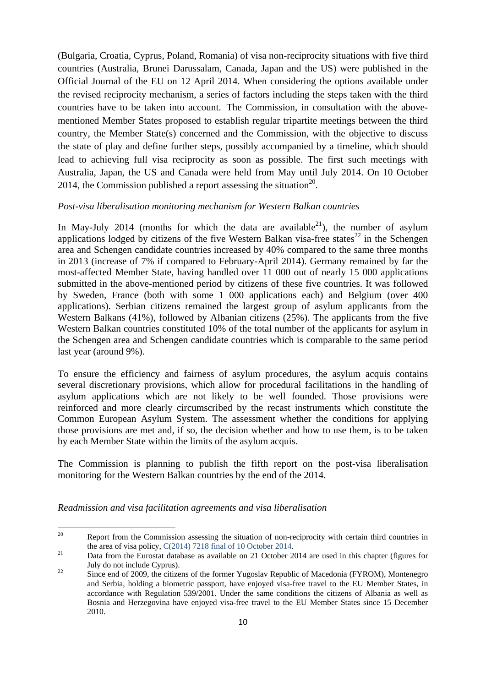(Bulgaria, Croatia, Cyprus, Poland, Romania) of visa non-reciprocity situations with five third countries (Australia, Brunei Darussalam, Canada, Japan and the US) were published in the Official Journal of the EU on 12 April 2014. When considering the options available under the revised reciprocity mechanism, a series of factors including the steps taken with the third countries have to be taken into account. The Commission, in consultation with the abovementioned Member States proposed to establish regular tripartite meetings between the third country, the Member State(s) concerned and the Commission, with the objective to discuss the state of play and define further steps, possibly accompanied by a timeline, which should lead to achieving full visa reciprocity as soon as possible. The first such meetings with Australia, Japan, the US and Canada were held from May until July 2014. On 10 October 2014, the Commission published a report assessing the situation<sup>20</sup>.

#### *Post-visa liberalisation monitoring mechanism for Western Balkan countries*

In May-July 2014 (months for which the data are available  $2^{1}$ ), the number of asylum applications lodged by citizens of the five Western Balkan visa-free states<sup>22</sup> in the Schengen area and Schengen candidate countries increased by 40% compared to the same three months in 2013 (increase of 7% if compared to February-April 2014). Germany remained by far the most-affected Member State, having handled over 11 000 out of nearly 15 000 applications submitted in the above-mentioned period by citizens of these five countries. It was followed by Sweden, France (both with some 1 000 applications each) and Belgium (over 400 applications). Serbian citizens remained the largest group of asylum applicants from the Western Balkans (41%), followed by Albanian citizens (25%). The applicants from the five Western Balkan countries constituted 10% of the total number of the applicants for asylum in the Schengen area and Schengen candidate countries which is comparable to the same period last year (around 9%).

To ensure the efficiency and fairness of asylum procedures, the asylum acquis contains several discretionary provisions, which allow for procedural facilitations in the handling of asylum applications which are not likely to be well founded. Those provisions were reinforced and more clearly circumscribed by the recast instruments which constitute the Common European Asylum System. The assessment whether the conditions for applying those provisions are met and, if so, the decision whether and how to use them, is to be taken by each Member State within the limits of the asylum acquis.

The Commission is planning to publish the fifth report on the post-visa liberalisation monitoring for the Western Balkan countries by the end of the 2014.

*Readmission and visa facilitation agreements and visa liberalisation* 

<sup>20</sup> Report from the Commission assessing the situation of non-reciprocity with certain third countries in the area of visa policy, C(2014) 7218 final of 10 October 2014.<br><sup>21</sup> Data from the Eurostat database as available on 21 October 2014 are used in this chapter (figures for

July do not include Cyprus). 22 Since end of 2009, the citizens of the former Yugoslav Republic of Macedonia (FYROM), Montenegro

and Serbia, holding a biometric passport, have enjoyed visa-free travel to the EU Member States, in accordance with Regulation 539/2001. Under the same conditions the citizens of Albania as well as Bosnia and Herzegovina have enjoyed visa-free travel to the EU Member States since 15 December 2010.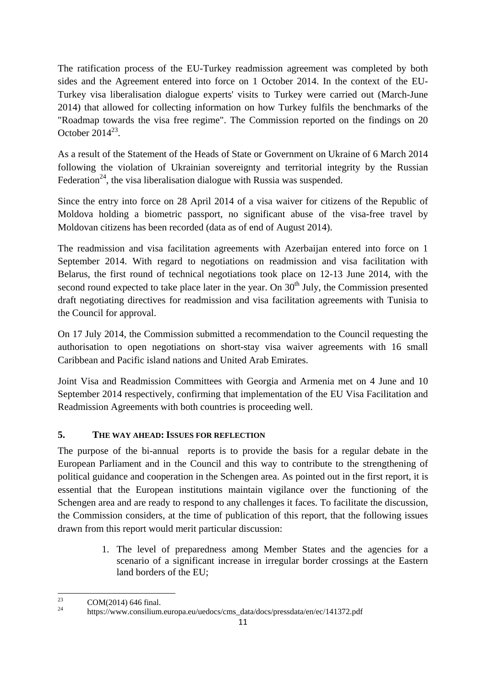The ratification process of the EU-Turkey readmission agreement was completed by both sides and the Agreement entered into force on 1 October 2014. In the context of the EU-Turkey visa liberalisation dialogue experts' visits to Turkey were carried out (March-June 2014) that allowed for collecting information on how Turkey fulfils the benchmarks of the "Roadmap towards the visa free regime". The Commission reported on the findings on 20 October  $2014^{23}$ 

As a result of the Statement of the Heads of State or Government on Ukraine of 6 March 2014 following the violation of Ukrainian sovereignty and territorial integrity by the Russian Federation<sup>24</sup>, the visa liberalisation dialogue with Russia was suspended.

Since the entry into force on 28 April 2014 of a visa waiver for citizens of the Republic of Moldova holding a biometric passport, no significant abuse of the visa-free travel by Moldovan citizens has been recorded (data as of end of August 2014).

The readmission and visa facilitation agreements with Azerbaijan entered into force on 1 September 2014. With regard to negotiations on readmission and visa facilitation with Belarus, the first round of technical negotiations took place on 12-13 June 2014, with the second round expected to take place later in the year. On 30<sup>th</sup> July, the Commission presented draft negotiating directives for readmission and visa facilitation agreements with Tunisia to the Council for approval.

On 17 July 2014, the Commission submitted a recommendation to the Council requesting the authorisation to open negotiations on short-stay visa waiver agreements with 16 small Caribbean and Pacific island nations and United Arab Emirates.

Joint Visa and Readmission Committees with Georgia and Armenia met on 4 June and 10 September 2014 respectively, confirming that implementation of the EU Visa Facilitation and Readmission Agreements with both countries is proceeding well.

## **5. THE WAY AHEAD: ISSUES FOR REFLECTION**

The purpose of the bi-annual reports is to provide the basis for a regular debate in the European Parliament and in the Council and this way to contribute to the strengthening of political guidance and cooperation in the Schengen area. As pointed out in the first report, it is essential that the European institutions maintain vigilance over the functioning of the Schengen area and are ready to respond to any challenges it faces. To facilitate the discussion, the Commission considers, at the time of publication of this report, that the following issues drawn from this report would merit particular discussion:

> 1. The level of preparedness among Member States and the agencies for a scenario of a significant increase in irregular border crossings at the Eastern land borders of the EU;

 $23$  $2^{23}$  COM(2014) 646 final.

https://www.consilium.europa.eu/uedocs/cms\_data/docs/pressdata/en/ec/141372.pdf